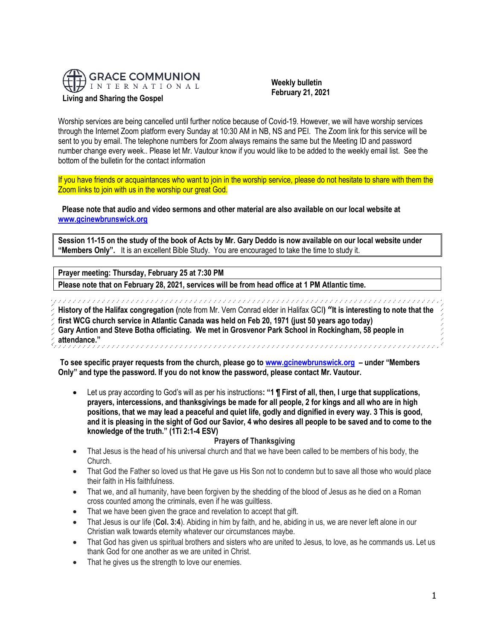

 **Weekly bulletin February 21, 2021**

Worship services are being cancelled until further notice because of Covid-19. However, we will have worship services through the Internet Zoom platform every Sunday at 10:30 AM in NB, NS and PEI. The Zoom link for this service will be sent to you by email. The telephone numbers for Zoom always remains the same but the Meeting ID and password number change every week.. Please let Mr. Vautour know if you would like to be added to the weekly email list. See the bottom of the bulletin for the contact information

If you have friends or acquaintances who want to join in the worship service, please do not hesitate to share with them the Zoom links to join with us in the worship our great God.

**Please note that audio and video sermons and other material are also available on our local website at [www.gcinewbrunswick.org](http://www.gcinewbrunswick.org/)**

**Session 11-15 on the study of the book of Acts by Mr. Gary Deddo is now available on our local website under "Members Only".** It is an excellent Bible Study. You are encouraged to take the time to study it.

**Prayer meeting: Thursday, February 25 at 7:30 PM**

**Please note that on February 28, 2021, services will be from head office at 1 PM Atlantic time.**

**History of the Halifax congregation (**note from Mr. Vern Conrad elder in Halifax GCI**) "It is interesting to note that the** 

**first WCG church service in Atlantic Canada was held on Feb 20, 1971 (just 50 years ago today)**

**Gary Antion and Steve Botha officiating. We met in Grosvenor Park School in Rockingham, 58 people in** 

**attendance."**

**To see specific prayer requests from the church, please go t[o www.gcinewbrunswick.org](http://www.gcinewbrunswick.org/) – under "Members Only" and type the password. If you do not know the password, please contact Mr. Vautour.**

• Let us pray according to God's will as per his instructions**: "1 ¶ First of all, then, I urge that supplications, prayers, intercessions, and thanksgivings be made for all people, 2 for kings and all who are in high positions, that we may lead a peaceful and quiet life, godly and dignified in every way. 3 This is good, and it is pleasing in the sight of God our Savior, 4 who desires all people to be saved and to come to the knowledge of the truth." (1Ti 2:1-4 ESV)** 

## **Prayers of Thanksgiving**

- That Jesus is the head of his universal church and that we have been called to be members of his body, the Church.
- That God the Father so loved us that He gave us His Son not to condemn but to save all those who would place their faith in His faithfulness.
- That we, and all humanity, have been forgiven by the shedding of the blood of Jesus as he died on a Roman cross counted among the criminals, even if he was guiltless.
- That we have been given the grace and revelation to accept that gift.
- That Jesus is our life (**Col. 3:4**). Abiding in him by faith, and he, abiding in us, we are never left alone in our Christian walk towards eternity whatever our circumstances maybe.
- That God has given us spiritual brothers and sisters who are united to Jesus, to love, as he commands us. Let us thank God for one another as we are united in Christ.
- That he gives us the strength to love our enemies.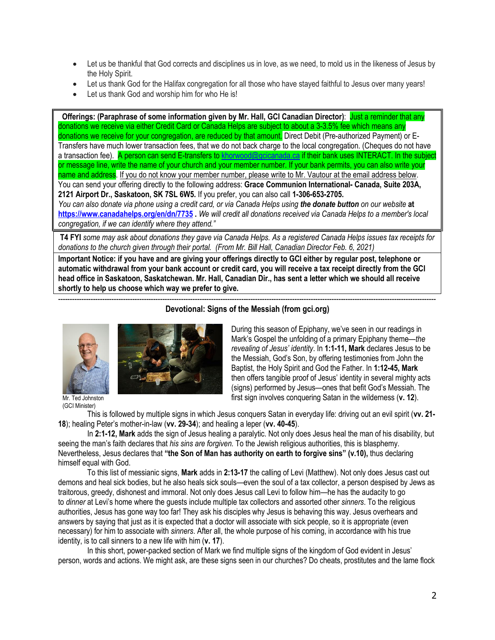- Let us be thankful that God corrects and disciplines us in love, as we need, to mold us in the likeness of Jesus by the Holy Spirit.
- Let us thank God for the Halifax congregation for all those who have stayed faithful to Jesus over many years!
- Let us thank God and worship him for who He is!

**Offerings: (Paraphrase of some information given by Mr. Hall, GCI Canadian Director)**: Just a reminder that any donations we receive via either Credit Card or Canada Helps are subject to about a 3-3.5% fee which means any donations we receive for your congregation, are reduced by that amount. Direct Debit (Pre-authorized Payment) or E-Transfers have much lower transaction fees, that we do not back charge to the local congregation. (Cheques do not have a transaction fee). A person can send E-transfers to [khorwood@gcicanada.ca](mailto:khorwood@gcicanada.ca) if their bank uses INTERACT. In the subject or message line, write the name of your church and your member number. If your bank permits, you can also write your name and address. If you do not know your member number, please write to Mr. Vautour at the email address below. You can send your offering directly to the following address: **Grace Communion International- Canada, Suite 203A, 2121 Airport Dr., Saskatoon, SK 7SL 6W5.** If you prefer, you can also call **1-306-653-2705.** 

*You can also donate via phone using a credit card, or via Canada Helps using the donate button on our website* **at <https://www.canadahelps.org/en/dn/7735> .** *We will credit all donations received via Canada Helps to a member's local congregation, if we can identify where they attend."*

**T4 FYI** *some may ask about donations they gave via Canada Helps. As a registered Canada Helps issues tax receipts for donations to the church given through their portal. (From Mr. Bill Hall, Canadian Director Feb. 6, 2021)*

**Important Notice: if you have and are giving your offerings directly to GCI either by regular post, telephone or automatic withdrawal from your bank account or credit card, you will receive a tax receipt directly from the GCI head office in Saskatoon, Saskatchewan. Mr. Hall, Canadian Dir., has sent a letter which we should all receive shortly to help us choose which way we prefer to give.**



(GCI Minister)

------------------------------------------------------------------------------------------------------------------------------------------------------------------- **Devotional: Signs of the Messiah (from gci.org)**

> During this season of Epiphany, we've seen in our readings in Mark's Gospel the unfolding of a primary Epiphany theme—*the revealing of Jesus' identity*. In **1:1-11, Mark** declares Jesus to be the Messiah, God's Son, by offering testimonies from John the Baptist, the Holy Spirit and God the Father. In **1:12-45, Mark** then offers tangible proof of Jesus' identity in several mighty acts (signs) performed by Jesus—ones that befit God's Messiah. The first sign involves conquering Satan in the wilderness (**v. 12**).

This is followed by multiple signs in which Jesus conquers Satan in everyday life: driving out an evil spirit (**vv. 21- 18**); healing Peter's mother-in-law (**vv. 29-34**); and healing a leper (**vv. 40-45**).

In **2:1-12, Mark** adds the sign of Jesus healing a paralytic. Not only does Jesus heal the man of his disability, but seeing the man's faith declares that *his sins are forgiven.* To the Jewish religious authorities, this is blasphemy. Nevertheless, Jesus declares that **"the Son of Man has authority on earth to forgive sins" (v.10),** thus declaring himself equal with God.

To this list of messianic signs, **Mark** adds in **2:13-17** the calling of Levi (Matthew). Not only does Jesus cast out demons and heal sick bodies, but he also heals sick souls—even the soul of a tax collector, a person despised by Jews as traitorous, greedy, dishonest and immoral. Not only does Jesus call Levi to follow him—he has the audacity to go to *dinner* at Levi's home where the guests include multiple tax collectors and assorted other *sinners*. To the religious authorities, Jesus has gone way too far! They ask his disciples why Jesus is behaving this way. Jesus overhears and answers by saying that just as it is expected that a doctor will associate with sick people, so it is appropriate (even necessary) for him to associate with *sinners*. After all, the whole purpose of his coming, in accordance with his true identity, is to call sinners to a new life with him (**v. 17**).

In this short, power-packed section of Mark we find multiple signs of the kingdom of God evident in Jesus' person, words and actions. We might ask, are these signs seen in our churches? Do cheats, prostitutes and the lame flock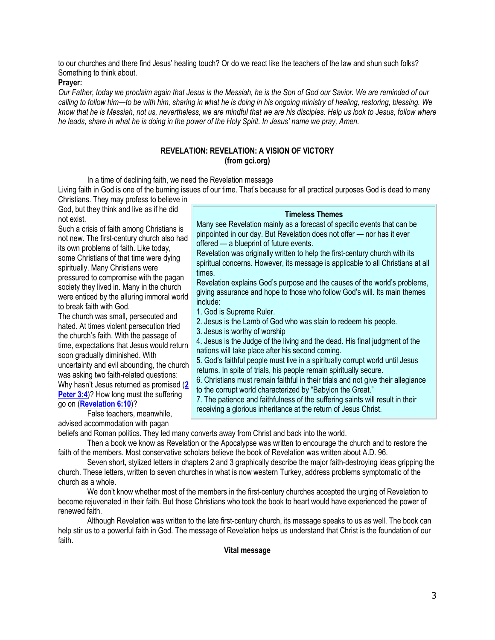to our churches and there find Jesus' healing touch? Or do we react like the teachers of the law and shun such folks? Something to think about.

#### **Prayer:**

*Our Father, today we proclaim again that Jesus is the Messiah, he is the Son of God our Savior. We are reminded of our calling to follow him—to be with him, sharing in what he is doing in his ongoing ministry of healing, restoring, blessing. We know that he is Messiah, not us, nevertheless, we are mindful that we are his disciples. Help us look to Jesus, follow where he leads, share in what he is doing in the power of the Holy Spirit. In Jesus' name we pray, Amen.*

# **REVELATION: REVELATION: A VISION OF VICTORY (from gci.org)**

In a time of declining faith, we need the Revelation message

Living faith in God is one of the burning issues of our time. That's because for all practical purposes God is dead to many Christians. They may profess to believe in

God, but they think and live as if he did not exist.

Such a crisis of faith among Christians is not new. The first-century church also had its own problems of faith. Like today, some Christians of that time were dying spiritually. Many Christians were pressured to compromise with the pagan society they lived in. Many in the church were enticed by the alluring immoral world to break faith with God.

The church was small, persecuted and hated. At times violent persecution tried the church's faith. With the passage of time, expectations that Jesus would return soon gradually diminished. With uncertainty and evil abounding, the church was asking two faith-related questions: Why hasn't Jesus returned as promised (**[2](https://biblia.com/bible/niv/2%20Pet%203.4)  [Peter 3:4](https://biblia.com/bible/niv/2%20Pet%203.4))?** How long must the suffering go on (**[Revelation 6:10](https://biblia.com/bible/niv/Rev%206.10)**)?

False teachers, meanwhile, advised accommodation with pagan

# **Timeless Themes**

Many see Revelation mainly as a forecast of specific events that can be pinpointed in our day. But Revelation does not offer — nor has it ever offered — a blueprint of future events.

Revelation was originally written to help the first-century church with its spiritual concerns. However, its message is applicable to all Christians at all times.

Revelation explains God's purpose and the causes of the world's problems, giving assurance and hope to those who follow God's will. Its main themes include:

1. God is Supreme Ruler.

2. Jesus is the Lamb of God who was slain to redeem his people.

3. Jesus is worthy of worship

4. Jesus is the Judge of the living and the dead. His final judgment of the nations will take place after his second coming.

5. God's faithful people must live in a spiritually corrupt world until Jesus returns. In spite of trials, his people remain spiritually secure.

6. Christians must remain faithful in their trials and not give their allegiance

to the corrupt world characterized by "Babylon the Great."

7. The patience and faithfulness of the suffering saints will result in their receiving a glorious inheritance at the return of Jesus Christ.

beliefs and Roman politics. They led many converts away from Christ and back into the world.

Then a book we know as Revelation or the Apocalypse was written to encourage the church and to restore the faith of the members. Most conservative scholars believe the book of Revelation was written about A.D. 96.

Seven short, stylized letters in chapters 2 and 3 graphically describe the major faith-destroying ideas gripping the church. These letters, written to seven churches in what is now western Turkey, address problems symptomatic of the church as a whole.

We don't know whether most of the members in the first-century churches accepted the urging of Revelation to become rejuvenated in their faith. But those Christians who took the book to heart would have experienced the power of renewed faith.

Although Revelation was written to the late first-century church, its message speaks to us as well. The book can help stir us to a powerful faith in God. The message of Revelation helps us understand that Christ is the foundation of our faith.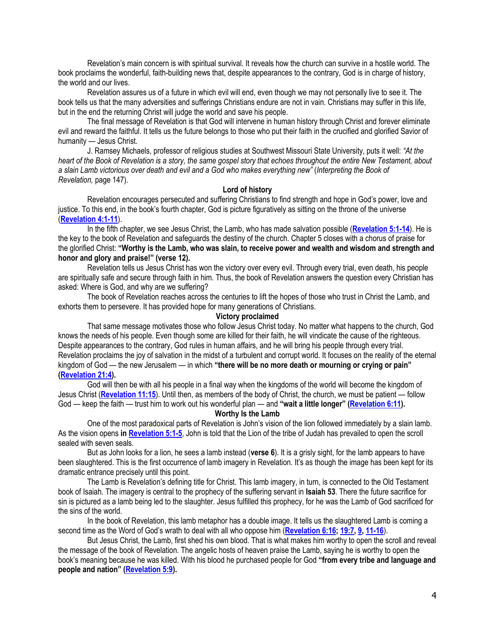Revelation's main concern is with spiritual survival. It reveals how the church can survive in a hostile world. The book proclaims the wonderful, faith-building news that, despite appearances to the contrary, God is in charge of history, the world and our lives.

Revelation assures us of a future in which evil will end, even though we may not personally live to see it. The book tells us that the many adversities and sufferings Christians endure are not in vain. Christians may suffer in this life, but in the end the returning Christ will judge the world and save his people.

The final message of Revelation is that God will intervene in human history through Christ and forever eliminate evil and reward the faithful. It tells us the future belongs to those who put their faith in the crucified and glorified Savior of humanity — Jesus Christ.

J. Ramsey Michaels, professor of religious studies at Southwest Missouri State University, puts it well: *"At the heart of the Book of Revelation is a story, the same gospel story that echoes throughout the entire New Testament, about a slain Lamb victorious over death and evil and a God who makes everything new"* (*Interpreting the Book of Revelation,* page 147).

### **Lord of history**

Revelation encourages persecuted and suffering Christians to find strength and hope in God's power, love and justice. To this end, in the book's fourth chapter, God is picture figuratively as sitting on the throne of the universe (**[Revelation 4:1-11](https://biblia.com/bible/niv/Rev%204.1-11)**).

In the fifth chapter, we see Jesus Christ, the Lamb, who has made salvation possible (**[Revelation 5:1-14](https://biblia.com/bible/niv/Rev%205.1-14)**). He is the key to the book of Revelation and safeguards the destiny of the church. Chapter 5 closes with a chorus of praise for the glorified Christ: **"Worthy is the Lamb, who was slain, to receive power and wealth and wisdom and strength and honor and glory and praise!" (verse 12).**

Revelation tells us Jesus Christ has won the victory over every evil. Through every trial, even death, his people are spiritually safe and secure through faith in him. Thus, the book of Revelation answers the question every Christian has asked: Where is God, and why are we suffering?

The book of Revelation reaches across the centuries to lift the hopes of those who trust in Christ the Lamb, and exhorts them to persevere. It has provided hope for many generations of Christians.

#### **Victory proclaimed**

That same message motivates those who follow Jesus Christ today. No matter what happens to the church, God knows the needs of his people. Even though some are killed for their faith, he will vindicate the cause of the righteous. Despite appearances to the contrary, God rules in human affairs, and he will bring his people through every trial. Revelation proclaims the joy of salvation in the midst of a turbulent and corrupt world. It focuses on the reality of the eternal kingdom of God — the new Jerusalem — in which **"there will be no more death or mourning or crying or pain" [\(Revelation 21:4\)](https://biblia.com/bible/niv/Rev%2021.4).**

God will then be with all his people in a final way when the kingdoms of the world will become the kingdom of Jesus Christ (**[Revelation 11:15](https://biblia.com/bible/niv/Rev%2011.15)**). Until then, as members of the body of Christ, the church, we must be patient — follow God — keep the faith — trust him to work out his wonderful plan — and **"wait a little longer" ([Revelation 6:11\)](https://biblia.com/bible/niv/Rev%206.11).**

**Worthy Is the Lamb**

One of the most paradoxical parts of Revelation is John's vision of the lion followed immediately by a slain lamb. As the vision opens **in [Revelation 5:1-5](https://biblia.com/bible/niv/Rev%205.1-5)**, John is told that the Lion of the tribe of Judah has prevailed to open the scroll sealed with seven seals.

But as John looks for a lion, he sees a lamb instead (**verse 6**). It is a grisly sight, for the lamb appears to have been slaughtered. This is the first occurrence of lamb imagery in Revelation. It's as though the image has been kept for its dramatic entrance precisely until this point.

The Lamb is Revelation's defining title for Christ. This lamb imagery, in turn, is connected to the Old Testament book of Isaiah. The imagery is central to the prophecy of the suffering servant in **Isaiah 53**. There the future sacrifice for sin is pictured as a lamb being led to the slaughter. Jesus fulfilled this prophecy, for he was the Lamb of God sacrificed for the sins of the world.

In the book of Revelation, this lamb metaphor has a double image. It tells us the slaughtered Lamb is coming a second time as the Word of God's wrath to deal with all who oppose him (**[Revelation 6:16;](https://biblia.com/bible/niv/Rev%206.16) [19:7,](https://biblia.com/bible/niv/Revelation%2019.7) [9,](https://biblia.com/bible/niv/Revelation%2019.9) [11-16](https://biblia.com/bible/niv/Revelation%2019.11-16)**).

But Jesus Christ, the Lamb, first shed his own blood. That is what makes him worthy to open the scroll and reveal the message of the book of Revelation. The angelic hosts of heaven praise the Lamb, saying he is worthy to open the book's meaning because he was killed. With his blood he purchased people for God **"from every tribe and language and people and nation" ([Revelation 5:9\)](https://biblia.com/bible/niv/Rev%205.9).**